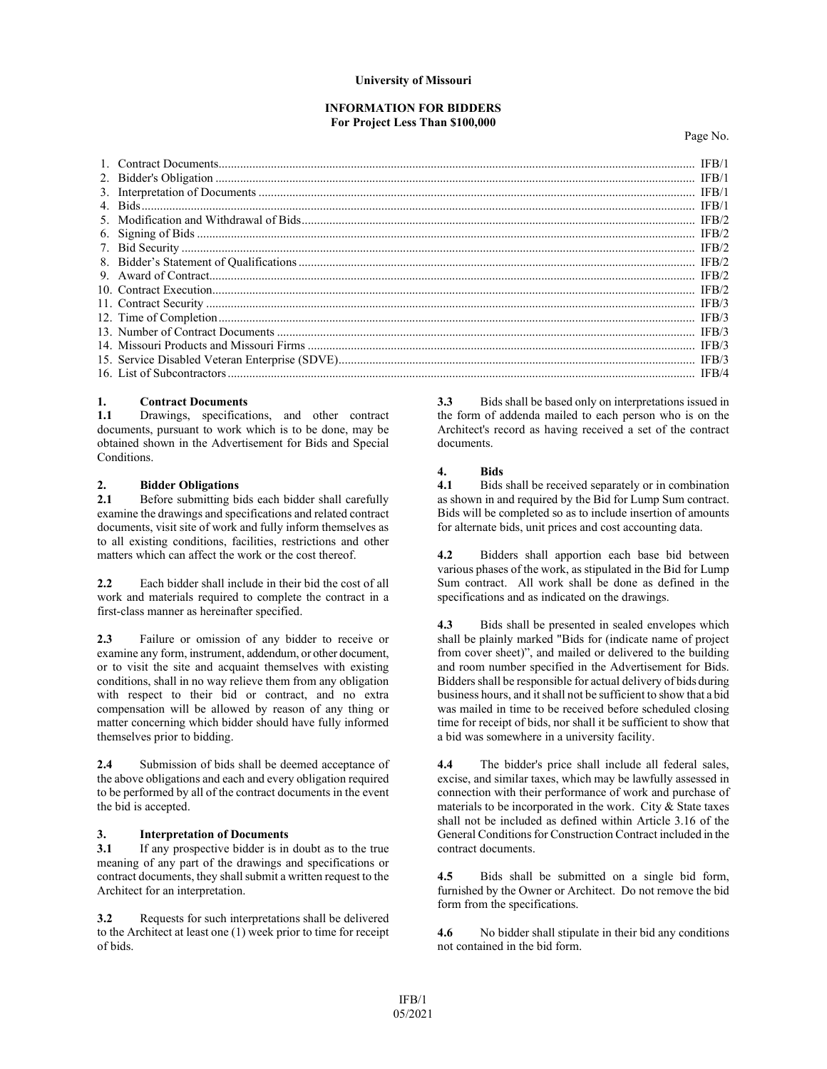### **University of Missouri**

#### **INFORMATION FOR BIDDERS For Project Less Than \$100,000**

Page No.

|  | IFB/1 |
|--|-------|
|  |       |
|  |       |
|  |       |
|  |       |
|  |       |
|  |       |
|  |       |
|  |       |
|  |       |
|  |       |
|  |       |
|  |       |
|  |       |
|  |       |
|  |       |

# **1. Contract Documents**

**1.1** Drawings, specifications, and other contract documents, pursuant to work which is to be done, may be obtained shown in the Advertisement for Bids and Special Conditions.

# 2. **Bidder Obligations**<br>2.1 **Before submitting bi**

**2.1** Before submitting bids each bidder shall carefully examine the drawings and specifications and related contract documents, visit site of work and fully inform themselves as to all existing conditions, facilities, restrictions and other matters which can affect the work or the cost thereof.

**2.2** Each bidder shall include in their bid the cost of all work and materials required to complete the contract in a first-class manner as hereinafter specified.

**2.3** Failure or omission of any bidder to receive or examine any form, instrument, addendum, or other document, or to visit the site and acquaint themselves with existing conditions, shall in no way relieve them from any obligation with respect to their bid or contract, and no extra compensation will be allowed by reason of any thing or matter concerning which bidder should have fully informed themselves prior to bidding.

**2.4** Submission of bids shall be deemed acceptance of the above obligations and each and every obligation required to be performed by all of the contract documents in the event the bid is accepted.

#### **3. Interpretation of Documents**

**3.1** If any prospective bidder is in doubt as to the true meaning of any part of the drawings and specifications or contract documents, they shall submit a written request to the Architect for an interpretation.

**3.2** Requests for such interpretations shall be delivered to the Architect at least one (1) week prior to time for receipt of bids.

**3.3** Bids shall be based only on interpretations issued in the form of addenda mailed to each person who is on the Architect's record as having received a set of the contract documents.

### **4. Bids**

**4.1** Bids shall be received separately or in combination as shown in and required by the Bid for Lump Sum contract. Bids will be completed so as to include insertion of amounts for alternate bids, unit prices and cost accounting data.

**4.2** Bidders shall apportion each base bid between various phases of the work, as stipulated in the Bid for Lump Sum contract. All work shall be done as defined in the specifications and as indicated on the drawings.

**4.3** Bids shall be presented in sealed envelopes which shall be plainly marked "Bids for (indicate name of project from cover sheet)", and mailed or delivered to the building and room number specified in the Advertisement for Bids. Bidders shall be responsible for actual delivery of bids during business hours, and it shall not be sufficient to show that a bid was mailed in time to be received before scheduled closing time for receipt of bids, nor shall it be sufficient to show that a bid was somewhere in a university facility.

**4.4** The bidder's price shall include all federal sales, excise, and similar taxes, which may be lawfully assessed in connection with their performance of work and purchase of materials to be incorporated in the work. City & State taxes shall not be included as defined within Article 3.16 of the General Conditions for Construction Contract included in the contract documents.

**4.5** Bids shall be submitted on a single bid form, furnished by the Owner or Architect. Do not remove the bid form from the specifications.

**4.6** No bidder shall stipulate in their bid any conditions not contained in the bid form.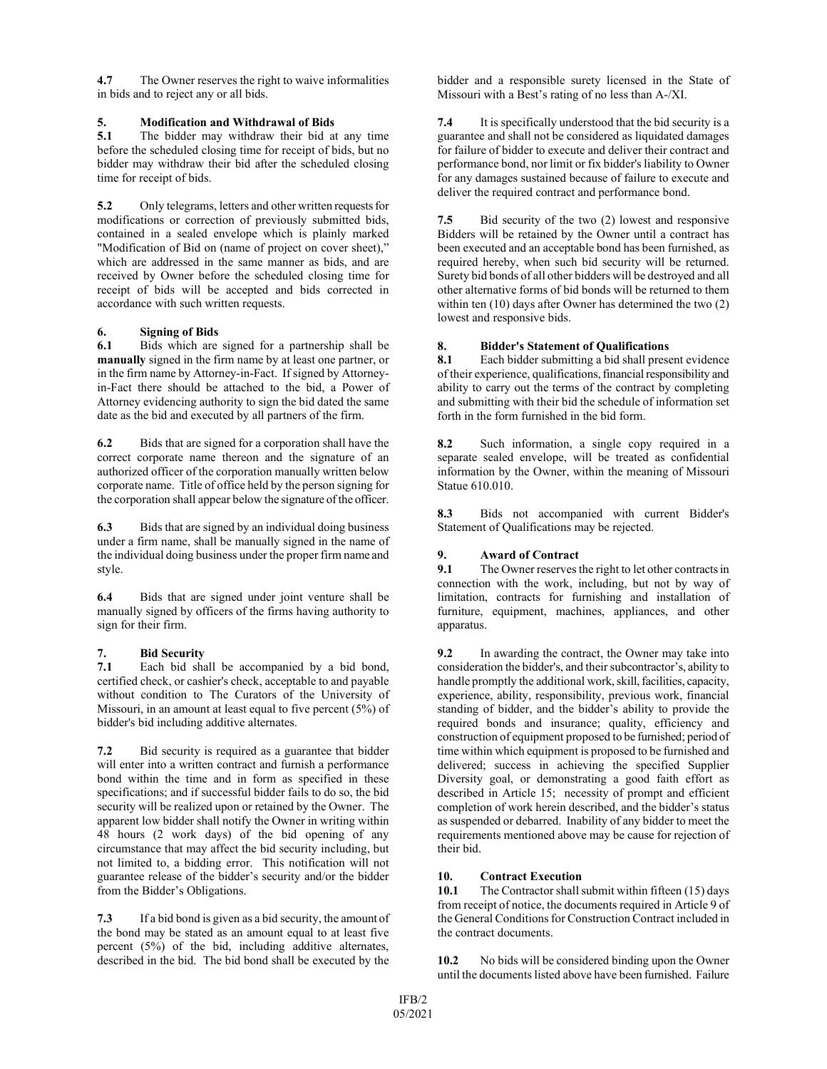**4.7** The Owner reserves the right to waive informalities in bids and to reject any or all bids.

# **5. Modification and Withdrawal of Bids**

**5.1** The bidder may withdraw their bid at any time before the scheduled closing time for receipt of bids, but no bidder may withdraw their bid after the scheduled closing time for receipt of bids.

**5.2** Only telegrams, letters and other written requests for modifications or correction of previously submitted bids, contained in a sealed envelope which is plainly marked "Modification of Bid on (name of project on cover sheet)," which are addressed in the same manner as bids, and are received by Owner before the scheduled closing time for receipt of bids will be accepted and bids corrected in accordance with such written requests.

## **6. Signing of Bids**

**6.1** Bids which are signed for a partnership shall be **manually** signed in the firm name by at least one partner, or in the firm name by Attorney-in-Fact. If signed by Attorneyin-Fact there should be attached to the bid, a Power of Attorney evidencing authority to sign the bid dated the same date as the bid and executed by all partners of the firm.

**6.2** Bids that are signed for a corporation shall have the correct corporate name thereon and the signature of an authorized officer of the corporation manually written below corporate name. Title of office held by the person signing for the corporation shall appear below the signature of the officer.

**6.3** Bids that are signed by an individual doing business under a firm name, shall be manually signed in the name of the individual doing business under the proper firm name and style.

**6.4** Bids that are signed under joint venture shall be manually signed by officers of the firms having authority to sign for their firm.

### **7. Bid Security**

**7.1** Each bid shall be accompanied by a bid bond, certified check, or cashier's check, acceptable to and payable without condition to The Curators of the University of Missouri, in an amount at least equal to five percent (5%) of bidder's bid including additive alternates.

**7.2** Bid security is required as a guarantee that bidder will enter into a written contract and furnish a performance bond within the time and in form as specified in these specifications; and if successful bidder fails to do so, the bid security will be realized upon or retained by the Owner. The apparent low bidder shall notify the Owner in writing within 48 hours (2 work days) of the bid opening of any circumstance that may affect the bid security including, but not limited to, a bidding error. This notification will not guarantee release of the bidder's security and/or the bidder from the Bidder's Obligations.

**7.3** If a bid bond is given as a bid security, the amount of the bond may be stated as an amount equal to at least five percent (5%) of the bid, including additive alternates, described in the bid. The bid bond shall be executed by the

bidder and a responsible surety licensed in the State of Missouri with a Best's rating of no less than A-/XI.

**7.4** It is specifically understood that the bid security is a guarantee and shall not be considered as liquidated damages for failure of bidder to execute and deliver their contract and performance bond, nor limit or fix bidder's liability to Owner for any damages sustained because of failure to execute and deliver the required contract and performance bond.

**7.5** Bid security of the two (2) lowest and responsive Bidders will be retained by the Owner until a contract has been executed and an acceptable bond has been furnished, as required hereby, when such bid security will be returned. Surety bid bonds of all other bidders will be destroyed and all other alternative forms of bid bonds will be returned to them within ten (10) days after Owner has determined the two (2) lowest and responsive bids.

### **8. Bidder's Statement of Qualifications**

**8.1** Each bidder submitting a bid shall present evidence of their experience, qualifications, financial responsibility and ability to carry out the terms of the contract by completing and submitting with their bid the schedule of information set forth in the form furnished in the bid form.

**8.2** Such information, a single copy required in a separate sealed envelope, will be treated as confidential information by the Owner, within the meaning of Missouri Statue 610.010.

**8.3** Bids not accompanied with current Bidder's Statement of Qualifications may be rejected.

#### **9. Award of Contract**

**9.1** The Owner reserves the right to let other contracts in connection with the work, including, but not by way of limitation, contracts for furnishing and installation of furniture, equipment, machines, appliances, and other apparatus.

**9.2** In awarding the contract, the Owner may take into consideration the bidder's, and their subcontractor's, ability to handle promptly the additional work, skill, facilities, capacity, experience, ability, responsibility, previous work, financial standing of bidder, and the bidder's ability to provide the required bonds and insurance; quality, efficiency and construction of equipment proposed to be furnished; period of time within which equipment is proposed to be furnished and delivered; success in achieving the specified Supplier Diversity goal, or demonstrating a good faith effort as described in Article 15; necessity of prompt and efficient completion of work herein described, and the bidder's status as suspended or debarred. Inability of any bidder to meet the requirements mentioned above may be cause for rejection of their bid.

### **10. Contract Execution**

**10.1** The Contractor shall submit within fifteen (15) days from receipt of notice, the documents required in Article 9 of the General Conditions for Construction Contract included in the contract documents.

**10.2** No bids will be considered binding upon the Owner until the documents listed above have been furnished. Failure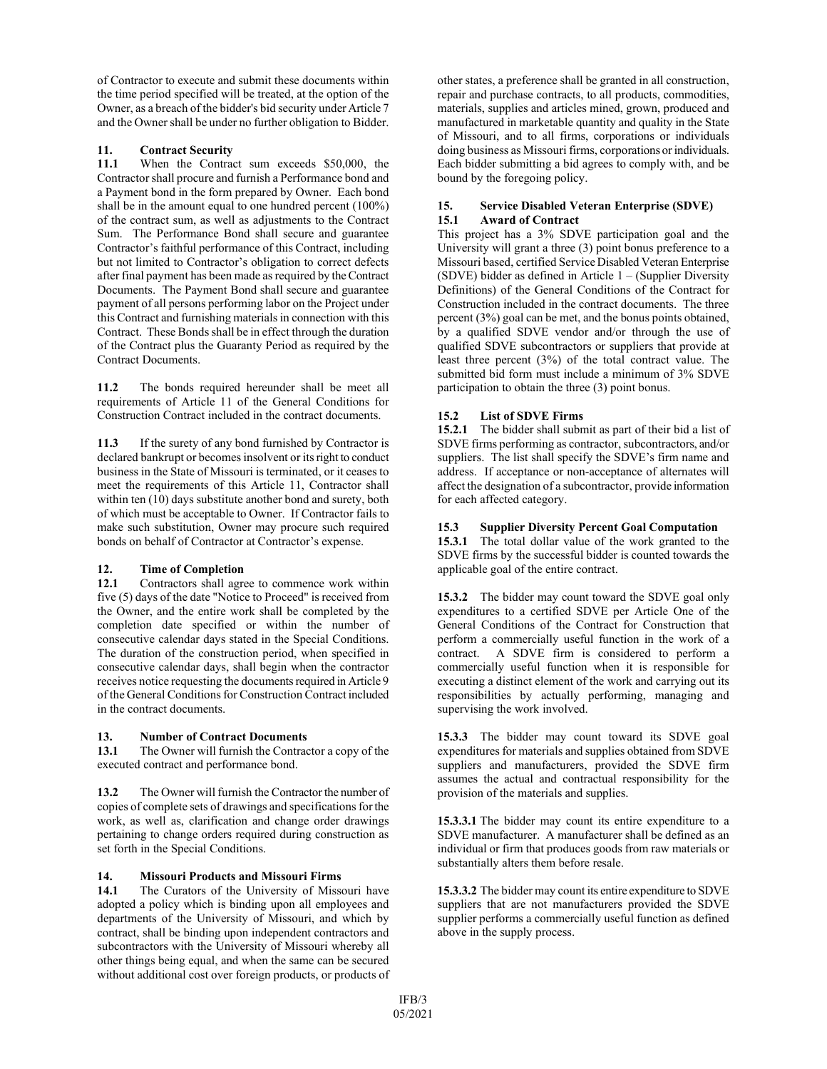of Contractor to execute and submit these documents within the time period specified will be treated, at the option of the Owner, as a breach of the bidder's bid security under Article 7 and the Owner shall be under no further obligation to Bidder.

# 11. **Contract Security**<br>11.1 When the Contra

When the Contract sum exceeds \$50,000, the Contractor shall procure and furnish a Performance bond and a Payment bond in the form prepared by Owner. Each bond shall be in the amount equal to one hundred percent (100%) of the contract sum, as well as adjustments to the Contract Sum. The Performance Bond shall secure and guarantee Contractor's faithful performance of this Contract, including but not limited to Contractor's obligation to correct defects after final payment has been made as required by the Contract Documents. The Payment Bond shall secure and guarantee payment of all persons performing labor on the Project under this Contract and furnishing materials in connection with this Contract. These Bonds shall be in effect through the duration of the Contract plus the Guaranty Period as required by the Contract Documents.

**11.2** The bonds required hereunder shall be meet all requirements of Article 11 of the General Conditions for Construction Contract included in the contract documents.

**11.3** If the surety of any bond furnished by Contractor is declared bankrupt or becomes insolvent or its right to conduct business in the State of Missouri is terminated, or it ceases to meet the requirements of this Article 11, Contractor shall within ten (10) days substitute another bond and surety, both of which must be acceptable to Owner. If Contractor fails to make such substitution, Owner may procure such required bonds on behalf of Contractor at Contractor's expense.

# **12. Time of Completion**

**12.1** Contractors shall agree to commence work within five (5) days of the date "Notice to Proceed" is received from the Owner, and the entire work shall be completed by the completion date specified or within the number of consecutive calendar days stated in the Special Conditions. The duration of the construction period, when specified in consecutive calendar days, shall begin when the contractor receives notice requesting the documents required in Article 9 of the General Conditions for Construction Contract included in the contract documents.

## **13. Number of Contract Documents**

**13.1** The Owner will furnish the Contractor a copy of the executed contract and performance bond.

**13.2** The Owner will furnish the Contractor the number of copies of complete sets of drawings and specifications for the work, as well as, clarification and change order drawings pertaining to change orders required during construction as set forth in the Special Conditions.

## **14. Missouri Products and Missouri Firms**

**14.1** The Curators of the University of Missouri have adopted a policy which is binding upon all employees and departments of the University of Missouri, and which by contract, shall be binding upon independent contractors and subcontractors with the University of Missouri whereby all other things being equal, and when the same can be secured without additional cost over foreign products, or products of

other states, a preference shall be granted in all construction, repair and purchase contracts, to all products, commodities, materials, supplies and articles mined, grown, produced and manufactured in marketable quantity and quality in the State of Missouri, and to all firms, corporations or individuals doing business as Missouri firms, corporations or individuals. Each bidder submitting a bid agrees to comply with, and be bound by the foregoing policy.

### **15. Service Disabled Veteran Enterprise (SDVE) 15.1 Award of Contract**

This project has a 3% SDVE participation goal and the University will grant a three (3) point bonus preference to a Missouri based, certified Service Disabled Veteran Enterprise (SDVE) bidder as defined in Article 1 – (Supplier Diversity Definitions) of the General Conditions of the Contract for Construction included in the contract documents. The three percent (3%) goal can be met, and the bonus points obtained, by a qualified SDVE vendor and/or through the use of qualified SDVE subcontractors or suppliers that provide at least three percent (3%) of the total contract value. The submitted bid form must include a minimum of 3% SDVE participation to obtain the three (3) point bonus.

## **15.2 List of SDVE Firms**

**15.2.1** The bidder shall submit as part of their bid a list of SDVE firms performing as contractor, subcontractors, and/or suppliers. The list shall specify the SDVE's firm name and address. If acceptance or non-acceptance of alternates will affect the designation of a subcontractor, provide information for each affected category.

## **15.3 Supplier Diversity Percent Goal Computation**

**15.3.1** The total dollar value of the work granted to the SDVE firms by the successful bidder is counted towards the applicable goal of the entire contract.

**15.3.2** The bidder may count toward the SDVE goal only expenditures to a certified SDVE per Article One of the General Conditions of the Contract for Construction that perform a commercially useful function in the work of a contract. A SDVE firm is considered to perform a commercially useful function when it is responsible for executing a distinct element of the work and carrying out its responsibilities by actually performing, managing and supervising the work involved.

**15.3.3** The bidder may count toward its SDVE goal expenditures for materials and supplies obtained from SDVE suppliers and manufacturers, provided the SDVE firm assumes the actual and contractual responsibility for the provision of the materials and supplies.

**15.3.3.1** The bidder may count its entire expenditure to a SDVE manufacturer. A manufacturer shall be defined as an individual or firm that produces goods from raw materials or substantially alters them before resale.

**15.3.3.2** The bidder may count its entire expenditure to SDVE suppliers that are not manufacturers provided the SDVE supplier performs a commercially useful function as defined above in the supply process.